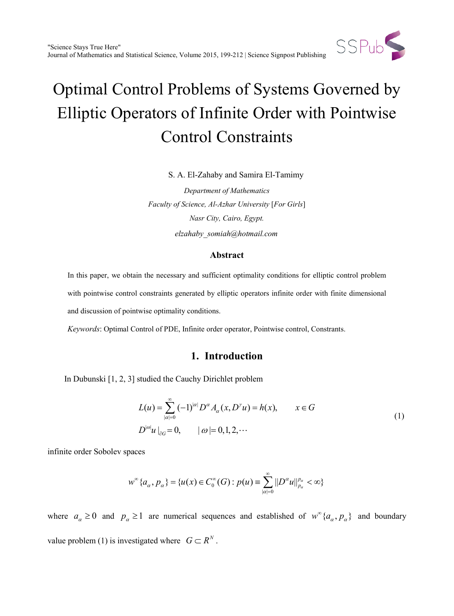

S. A. El-Zahaby and Samira El-Tamimy

*Department of Mathematics Faculty of Science, Al-Azhar University* [*For Girls*] *Nasr City, Cairo, Egypt. elzahaby\_somiah@hotmail.com*

### **Abstract**

In this paper, we obtain the necessary and sufficient optimality conditions for elliptic control problem with pointwise control constraints generated by elliptic operators infinite order with finite dimensional and discussion of pointwise optimality conditions.

*Keywords*: Optimal Control of PDE, Infinite order operator, Pointwise control, Constrants.

# **1. Introduction**

In Dubunski [1, 2, 3] studied the Cauchy Dirichlet problem

$$
L(u) = \sum_{|\alpha|=0}^{\infty} (-1)^{|\alpha|} D^{\alpha} A_{\alpha}(x, D^{\gamma} u) = h(x), \qquad x \in G
$$
  

$$
D^{|\omega|} u \big|_{\partial G} = 0, \qquad |\omega| = 0, 1, 2, \cdots
$$
 (1)

infinite order Sobolev spaces

$$
w^{\infty}\{a_{\alpha}, p_{\alpha}\} = \{u(x) \in C_0^{\infty}(G) : p(u) = \sum_{|\alpha|=0}^{\infty} ||D^{\alpha}u||_{p_{\alpha}}^{p_{\alpha}} < \infty\}
$$

where  $a_{\alpha} \ge 0$  and  $p_{\alpha} \ge 1$  are numerical sequences and established of  $w^{\infty} \{a_{\alpha}, p_{\alpha}\}\$  and boundary value problem (1) is investigated where  $G \subset \mathbb{R}^N$ .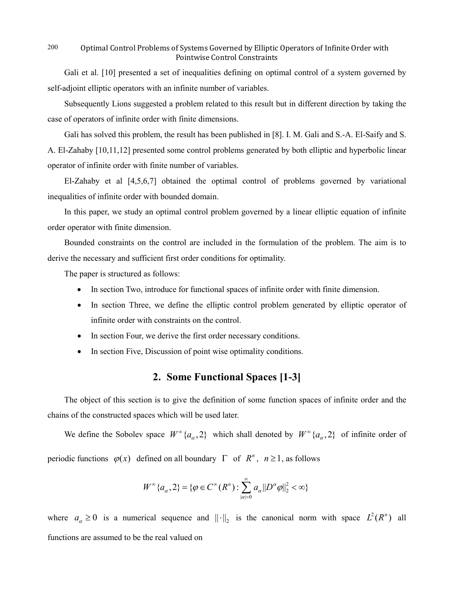Gali et al. [10] presented a set of inequalities defining on optimal control of a system governed by self-adjoint elliptic operators with an infinite number of variables.

Subsequently Lions suggested a problem related to this result but in different direction by taking the case of operators of infinite order with finite dimensions.

Gali has solved this problem, the result has been published in [8]. I. M. Gali and S.-A. El-Saify and S. A. El-Zahaby [10,11,12] presented some control problems generated by both elliptic and hyperbolic linear operator of infinite order with finite number of variables.

El-Zahaby et al [4,5,6,7] obtained the optimal control of problems governed by variational inequalities of infinite order with bounded domain.

In this paper, we study an optimal control problem governed by a linear elliptic equation of infinite order operator with finite dimension.

Bounded constraints on the control are included in the formulation of the problem. The aim is to derive the necessary and sufficient first order conditions for optimality.

The paper is structured as follows:

- In section Two, introduce for functional spaces of infinite order with finite dimension.
- In section Three, we define the elliptic control problem generated by elliptic operator of infinite order with constraints on the control.
- In section Four, we derive the first order necessary conditions.
- In section Five, Discussion of point wise optimality conditions.

# **2. Some Functional Spaces [1-3]**

The object of this section is to give the definition of some function spaces of infinite order and the chains of the constructed spaces which will be used later.

We define the Sobolev space  $W^{\infty}\{a_{\alpha}, 2\}$  which shall denoted by  $W^{\infty}\{a_{\alpha}, 2\}$  of infinite order of periodic functions  $\varphi(x)$  defined on all boundary  $\Gamma$  of  $R^n$ ,  $n \ge 1$ , as follows

$$
W^{\infty}\{a_{\alpha}, 2\} = \{\varphi \in C^{\infty}(R^n) : \sum_{|\alpha|=0}^{\infty} a_{\alpha} ||D^{\alpha}\varphi||_2^2 < \infty\}
$$

where  $a_{\alpha} \ge 0$  is a numerical sequence and  $||\cdot||_2$  is the canonical norm with space  $L^2(R^n)$  all functions are assumed to be the real valued on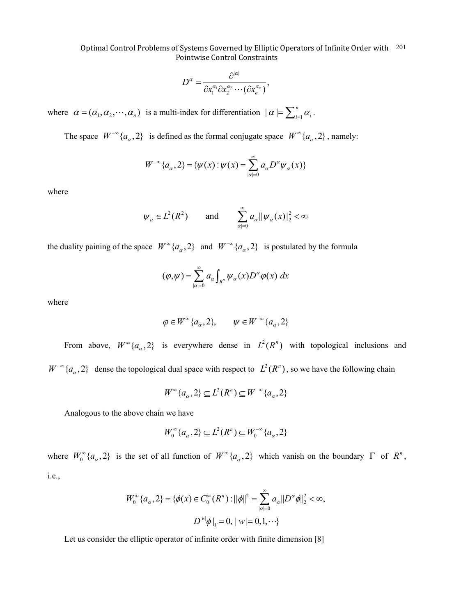$$
D^{\alpha}=\frac{\partial^{|\alpha|}}{\partial x_1^{\alpha_1}\partial x_2^{\alpha_2}\cdots(\partial x_n^{\alpha_n})},
$$

where  $\alpha = (\alpha_1, \alpha_2, \cdots, \alpha_n)$  is a multi-index for differentiation  $|\alpha| = \sum_{i=1}^n$  $| \alpha | = \sum_{i=1}^n \alpha_i$ .

The space  $W^{-\infty}\{a_{\alpha}, 2\}$  is defined as the formal conjugate space  $W^{\infty}\{a_{\alpha}, 2\}$ , namely:

$$
W^{-\infty}\{a_{\alpha}, 2\} = \{\psi(x) : \psi(x) = \sum_{|\alpha|=0}^{\infty} a_{\alpha} D^{\alpha} \psi_{\alpha}(x)\}
$$

where

$$
\psi_{\alpha} \in L^2(R^2)
$$
 and  $\sum_{|\alpha|=0}^{\infty} a_{\alpha} ||\psi_{\alpha}(x)||_2^2 < \infty$ 

the duality paining of the space  $W^{\infty}\{a_{\alpha}, 2\}$  and  $W^{-\infty}\{a_{\alpha}, 2\}$  is postulated by the formula

$$
(\varphi,\psi)=\sum_{|\alpha|=0}^{\infty}a_{\alpha}\int_{R^{n}}\psi_{\alpha}(x)D^{\alpha}\varphi(x) dx
$$

where

$$
\varphi\in W^{\infty}\{a_{\alpha},2\},\qquad\psi\in W^{-\infty}\{a_{\alpha},2\}
$$

From above,  $W^{\infty}\{a_{\alpha},2\}$  is everywhere dense in  $L^{2}(R^{n})$  with topological inclusions and  $W^{-\infty}{a_\alpha, 2}$  dense the topological dual space with respect to  $L^2(R^n)$ , so we have the following chain

$$
W^{\infty}\{a_{\alpha},2\} \subseteq L^{2}(R^{n}) \subseteq W^{-\infty}\{a_{\alpha},2\}
$$

Analogous to the above chain we have

$$
W_0^\infty\{a_\alpha,2\} \subseteq L^2(R^n) \subseteq W_0^{-\infty}\{a_\alpha,2\}
$$

where  $W_0^{\infty} \{a_{\alpha}, 2\}$  is the set of all function of  $W^{\infty} \{a_{\alpha}, 2\}$  which vanish on the boundary  $\Gamma$  of  $R^n$ , i.e.,

$$
W_0^{\infty} \{a_{\alpha}, 2\} = \{ \phi(x) \in C_0^{\infty}(R^n) : ||\phi||^2 = \sum_{|\alpha|=0}^{\infty} a_{\alpha} ||D^{\alpha} \phi||_2^2 < \infty, D^{|w|} \phi |_{\Gamma} = 0, |w| = 0, 1, \cdots \}
$$

Let us consider the elliptic operator of infinite order with finite dimension [8]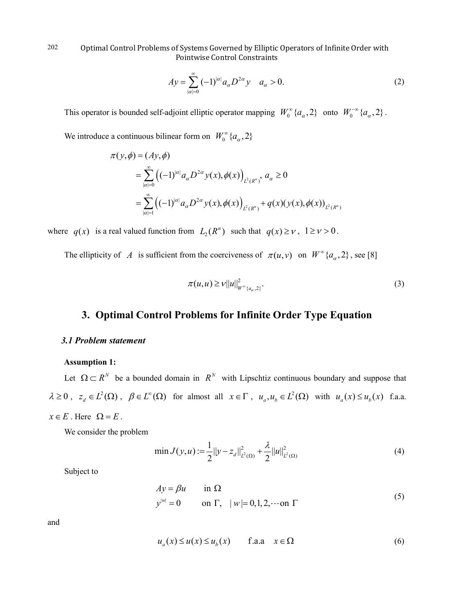$$
Ay = \sum_{|\alpha|=0}^{\infty} (-1)^{|\alpha|} a_{\alpha} D^{2\alpha} y \quad a_{\alpha} > 0.
$$
 (2)

This operator is bounded self-adjoint elliptic operator mapping  $W_0^{\infty} \{a_{\alpha}, 2\}$  onto  $W_0^{-\infty} \{a_{\alpha}, 2\}$ .

We introduce a continuous bilinear form on  $W_0^{\infty}$  { $a_{\alpha}$ , 2}

$$
\pi(y,\phi) = (Ay,\phi)
$$
  
= 
$$
\sum_{|\alpha|=0}^{\infty} ((-1)^{|\alpha|} a_{\alpha} D^{2\alpha} y(x), \phi(x))_{L^2(R^n)}, a_{\alpha} \ge 0
$$
  
= 
$$
\sum_{|\alpha|=1}^{\infty} ((-1)^{|\alpha|} a_{\alpha} D^{2\alpha} y(x), \phi(x))_{L^2(R^n)} + q(x) (y(x), \phi(x))_{L^2(R^n)}
$$

where  $q(x)$  is a real valued function from  $L_2(R^n)$  such that  $q(x) \ge v$ ,  $1 \ge v > 0$ .

The ellipticity of *A* is sufficient from the coerciveness of  $\pi(u, v)$  on  $W^{\infty}\{a_{\alpha}, 2\}$ , see [8]

$$
\pi(u, u) \geq v ||u||_{W^{\infty}\{a_{\alpha}, 2\}}^{2}.
$$
\n(3)

# **3. Optimal Control Problems for Infinite Order Type Equation**

### *3.1 Problem statement*

## **Assumption 1:**

Let  $\Omega \subset R^N$  be a bounded domain in  $R^N$  with Lipschtiz continuous boundary and suppose that  $\lambda \geq 0$ ,  $z_d \in L^2(\Omega)$ ,  $\beta \in L^{\infty}(\Omega)$  for almost all  $x \in \Gamma$ ,  $u_a, u_b \in L^2(\Omega)$  with  $u_a(x) \leq u_b(x)$  f.a.a.  $x \in E$ . Here  $\Omega = E$ .

We consider the problem

$$
\min J(y, u) := \frac{1}{2} ||y - z_d||_{L^2(\Omega)}^2 + \frac{\lambda}{2} ||u||_{L^2(\Omega)}^2
$$
\n(4)

Subject to

$$
Ay = \beta u \qquad \text{in } \Omega
$$
  
\n
$$
y^{|w|} = 0 \qquad \text{on } \Gamma, \quad |w| = 0, 1, 2, \dots \text{on } \Gamma
$$
 (5)

and

$$
u_a(x) \le u(x) \le u_b(x) \qquad \text{f.a.a} \quad x \in \Omega \tag{6}
$$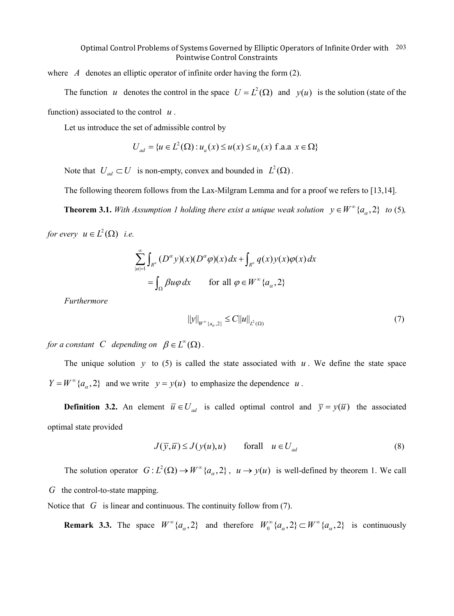where *A* denotes an elliptic operator of infinite order having the form (2).

The function *u* denotes the control in the space  $U = L^2(\Omega)$  and  $y(u)$  is the solution (state of the function) associated to the control *u* .

Let us introduce the set of admissible control by

$$
U_{ad} = \{u \in L^{2}(\Omega) : u_{a}(x) \le u(x) \le u_{b}(x) \text{ f.a.a } x \in \Omega\}
$$

Note that  $U_{ad} \subset U$  is non-empty, convex and bounded in  $L^2(\Omega)$ .

The following theorem follows from the Lax-Milgram Lemma and for a proof we refers to [13,14].

**Theorem 3.1.** With Assumption 1 holding there exist a unique weak solution  $y \in W^{\infty} \{a_{\alpha}, 2\}$  to (5),

*for every*  $u \in L^2(\Omega)$  *i.e.* 

$$
\sum_{|\alpha|=1}^{\infty} \int_{R^n} (D^{\alpha} y)(x) (D^{\alpha} \varphi)(x) dx + \int_{R^n} q(x) y(x) \varphi(x) dx
$$
  
= 
$$
\int_{\Omega} \beta u \varphi dx \quad \text{for all } \varphi \in W^{\infty} \{a_{\alpha}, 2\}
$$

*Furthermore* 

$$
||y||_{W^{\infty}\{a_{\alpha},2\}} \leq C||u||_{L^{2}(\Omega)}
$$
\n(7)

*for a constant C depending on*  $\beta \in L^{\infty}(\Omega)$ .

The unique solution  $y$  to (5) is called the state associated with  $u$ . We define the state space  $Y = W^{\infty} \{a_{\alpha}, 2\}$  and we write  $y = y(u)$  to emphasize the dependence *u*.

**Definition 3.2.** An element  $\overline{u} \in U_{ad}$  is called optimal control and  $\overline{y} = y(\overline{u})$  the associated optimal state provided

$$
J(\overline{y}, \overline{u}) \le J(y(u), u) \qquad \text{for all} \quad u \in U_{ad} \tag{8}
$$

The solution operator  $G: L^2(\Omega) \to W^{\infty}\{a_{\alpha}, 2\}$ ,  $u \to y(u)$  is well-defined by theorem 1. We call *G* the control-to-state mapping.

Notice that *G* is linear and continuous. The continuity follow from (7).

**Remark 3.3.** The space  $W^{\infty}\{a_{\alpha}, 2\}$  and therefore  $W^{\infty}\{a_{\alpha}, 2\} \subset W^{\infty}\{a_{\alpha}, 2\}$  is continuously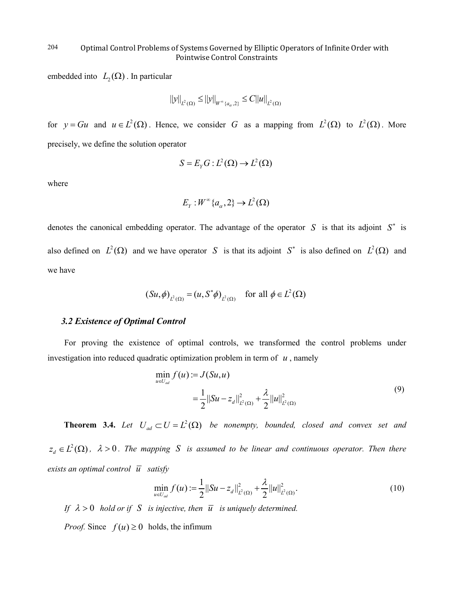embedded into  $L_2(\Omega)$ . In particular

$$
||y||_{L^{2}(\Omega)} \leq ||y||_{W^{\infty}\{a_{\alpha},2\}} \leq C||u||_{L^{2}(\Omega)}
$$

for  $y = Gu$  and  $u \in L^2(\Omega)$ . Hence, we consider *G* as a mapping from  $L^2(\Omega)$  to  $L^2(\Omega)$ . More precisely, we define the solution operator

$$
S = E_{Y}G : L^{2}(\Omega) \to L^{2}(\Omega)
$$

where

$$
E_{Y}:W^{\infty}\{a_{\alpha},2\}\to L^{2}(\Omega)
$$

denotes the canonical embedding operator. The advantage of the operator *S* is that its adjoint *S*<sup>∗</sup> is also defined on  $L^2(\Omega)$  and we have operator *S* is that its adjoint  $S^*$  is also defined on  $L^2(\Omega)$  and we have

$$
(Su,\phi)_{L^2(\Omega)} = (u, S^*\phi)_{L^2(\Omega)} \quad \text{for all } \phi \in L^2(\Omega)
$$

## *3.2 Existence of Optimal Control*

For proving the existence of optimal controls, we transformed the control problems under investigation into reduced quadratic optimization problem in term of *u* , namely

$$
\min_{u \in U_{ad}} f(u) := J(Su, u)
$$
\n
$$
= \frac{1}{2} ||Su - z_d||_{L^2(\Omega)}^2 + \frac{\lambda}{2} ||u||_{L^2(\Omega)}^2 \tag{9}
$$

**Theorem 3.4.** Let  $U_{ad} \subset U = L^2(\Omega)$  be nonempty, bounded, closed and convex set and  $z_d \in L^2(\Omega)$ ,  $\lambda > 0$ . The mapping S is assumed to be linear and continuous operator. Then there *exists an optimal control*  $\overline{u}$  *satisfy* 

$$
\min_{u \in U_{ad}} f(u) := \frac{1}{2} ||Su - z_d||_{L^2(\Omega)}^2 + \frac{\lambda}{2} ||u||_{L^2(\Omega)}^2.
$$
\n(10)

*If*  $\lambda > 0$  *hold or if S is injective, then*  $\overline{u}$  *is uniquely determined.* 

*Proof.* Since  $f(u) \ge 0$  holds, the infimum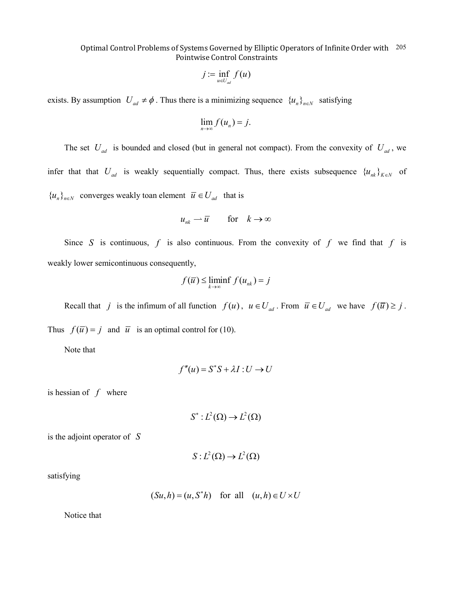$$
j := \inf_{u \in U_{ad}} f(u)
$$

exists. By assumption  $U_{ad} \neq \phi$ . Thus there is a minimizing sequence  ${u_n}_{n \in N}$  satisfying

$$
\lim_{n\to\infty}f(u_n)=j.
$$

The set  $U_{ad}$  is bounded and closed (but in general not compact). From the convexity of  $U_{ad}$ , we infer that that  $U_{ad}$  is weakly sequentially compact. Thus, there exists subsequence  ${u_{nk}}_{k \in N}$  of  ${u_n}_{n\in\mathbb{N}}$  converges weakly toan element  $\overline{u} \in U_{ad}$  that is

$$
u_{nk} \rightharpoonup \overline{u} \qquad \text{for} \quad k \to \infty
$$

Since *S* is continuous,  $f$  is also continuous. From the convexity of  $f$  we find that  $f$  is weakly lower semicontinuous consequently,

$$
f(\overline{u}) \leq \liminf_{k \to \infty} f(u_{nk}) = j
$$

Recall that *j* is the infimum of all function  $f(u)$ ,  $u \in U_{ad}$ . From  $\overline{u} \in U_{ad}$  we have  $f(\overline{u}) \geq j$ . Thus  $f(\overline{u}) = j$  and  $\overline{u}$  is an optimal control for (10).

Note that

$$
f''(u) = S^*S + \lambda I : U \to U
$$

is hessian of *f* where

$$
S^*: L^2(\Omega) \to L^2(\Omega)
$$

is the adjoint operator of *S*

$$
S: L^2(\Omega) \to L^2(\Omega)
$$

satisfying

$$
(Su, h) = (u, S^*h)
$$
 for all  $(u, h) \in U \times U$ 

Notice that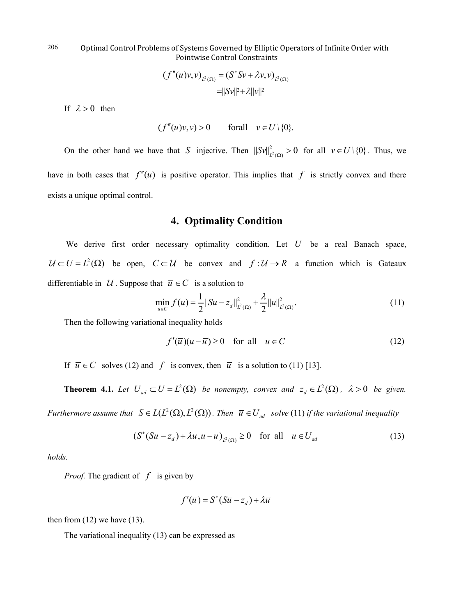$$
(f''(u)v,v)_{L^2(\Omega)} = (S^*Sv + \lambda v, v)_{L^2(\Omega)}
$$
  
=||Sv||^2 + \lambda ||v||^2

If  $\lambda > 0$  then

$$
(f''(u)v, v) > 0 \quad \text{for all} \quad v \in U \setminus \{0\}.
$$

On the other hand we have that *S* injective. Then  $||Sv||^2_{L^2(\Omega)} > 0$  for all  $v \in U \setminus \{0\}$ . Thus, we have in both cases that  $f''(u)$  is positive operator. This implies that f is strictly convex and there

exists a unique optimal control.

## **4. Optimality Condition**

We derive first order necessary optimality condition. Let *U* be a real Banach space,  $U \subset U = L^2(\Omega)$  be open,  $C \subset U$  be convex and  $f : U \to R$  a function which is Gateaux differentiable in  $U$ . Suppose that  $\overline{u} \in C$  is a solution to

$$
\min_{u \in C} f(u) = \frac{1}{2} ||Su - z_d||_{L^2(\Omega)}^2 + \frac{\lambda}{2} ||u||_{L^2(\Omega)}^2.
$$
\n(11)

Then the following variational inequality holds

$$
f'(\overline{u})(u - \overline{u}) \ge 0 \quad \text{for all} \quad u \in C \tag{12}
$$

If  $\overline{u} \in C$  solves (12) and *f* is convex, then  $\overline{u}$  is a solution to (11) [13].

**Theorem 4.1.** Let  $U_{ad} \subset U = L^2(\Omega)$  be nonempty, convex and  $z_d \in L^2(\Omega)$ ,  $\lambda > 0$  be given.

*Furthermore assume that*  $S \in L(L^2(\Omega), L^2(\Omega))$ *. Then*  $\overline{u} \in U_{ad}$  *solve* (11) *if the variational inequality* 

$$
(S^*(S\overline{u}-z_d) + \lambda \overline{u}, u - \overline{u})_{L^2(\Omega)} \ge 0 \quad \text{for all} \quad u \in U_{ad}
$$
 (13)

*holds.* 

*Proof.* The gradient of *f* is given by

$$
f'(\overline{u}) = S^*(S\overline{u} - z_d) + \lambda \overline{u}
$$

then from  $(12)$  we have  $(13)$ .

The variational inequality (13) can be expressed as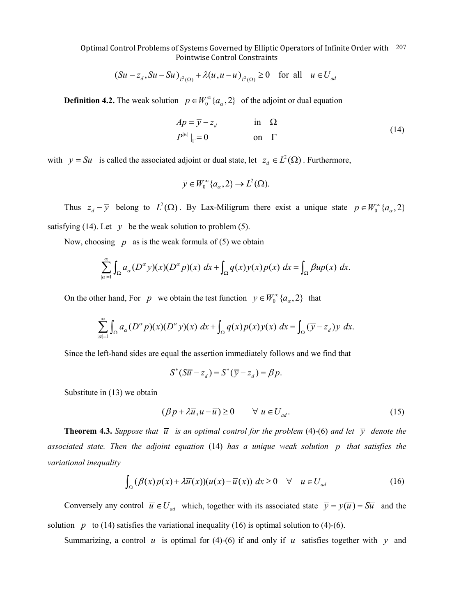$$
(\overline{Su} - z_d, Su - \overline{Su})_{L^2(\Omega)} + \lambda (\overline{u}, u - \overline{u})_{L^2(\Omega)} \ge 0 \quad \text{for all} \quad u \in U_{ad}
$$

**Definition 4.2.** The weak solution  $p \in W_0^{\infty} \{a_{\alpha}, 2\}$  of the adjoint or dual equation

$$
Ap = \overline{y} - z_d \qquad \text{in } \Omega
$$
  
\n
$$
P^{|w|}|_{\Gamma} = 0 \qquad \text{on } \Gamma
$$
\n(14)

with  $\overline{y} = S\overline{u}$  is called the associated adjoint or dual state, let  $z_d \in L^2(\Omega)$ . Furthermore,

$$
\overline{y} \in W_0^{\infty} \{a_{\alpha}, 2\} \to L^2(\Omega).
$$

Thus  $z_d - \overline{y}$  belong to  $L^2(\Omega)$ . By Lax-Miligrum there exist a unique state  $p \in W_0^{\infty} \{a_\alpha, 2\}$ satisfying (14). Let  $y$  be the weak solution to problem (5).

Now, choosing  $p$  as is the weak formula of (5) we obtain

$$
\sum_{|\alpha|=1}^{\infty} \int_{\Omega} a_{\alpha}(D^{\alpha}y)(x)(D^{\alpha}p)(x) dx + \int_{\Omega} q(x)y(x)p(x) dx = \int_{\Omega} \beta up(x) dx.
$$

On the other hand, For *p* we obtain the test function  $y \in W_0^{\infty} \{a_{\alpha}, 2\}$  that

$$
\sum_{|\alpha|=1}^{\infty} \int_{\Omega} a_{\alpha}(D^{\alpha} p)(x) (D^{\alpha} y)(x) \, dx + \int_{\Omega} q(x) p(x) y(x) \, dx = \int_{\Omega} (\overline{y} - z_d) y \, dx.
$$

Since the left-hand sides are equal the assertion immediately follows and we find that

$$
S^*(S\overline{u}-z_d)=S^*(\overline{y}-z_d)=\beta p.
$$

Substitute in (13) we obtain

$$
(\beta p + \lambda \overline{u}, u - \overline{u}) \ge 0 \qquad \forall \ u \in U_{ad}.
$$
 (15)

**Theorem 4.3.** *Suppose that*  $\overline{u}$  *is an optimal control for the problem* (4)-(6) *and let*  $\overline{v}$  *denote the associated state. Then the adjoint equation* (14) *has a unique weak solution p that satisfies the variational inequality* 

$$
\int_{\Omega} (\beta(x)p(x) + \lambda \overline{u}(x))(u(x) - \overline{u}(x)) dx \ge 0 \quad \forall \quad u \in U_{ad}
$$
 (16)

Conversely any control  $\overline{u} \in U_{ad}$  which, together with its associated state  $\overline{y} = y(\overline{u}) = S\overline{u}$  and the solution *p* to (14) satisfies the variational inequality (16) is optimal solution to (4)-(6).

Summarizing, a control  $u$  is optimal for (4)-(6) if and only if  $u$  satisfies together with  $y$  and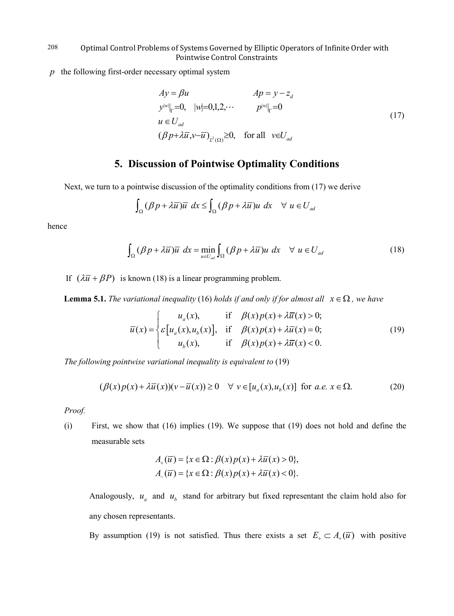*p* the following first-order necessary optimal system

$$
Ay = \beta u \qquad Ap = y - z_d
$$
  
\n
$$
y^{|w|}|_{\Gamma} = 0, \quad |w| = 0, 1, 2, \cdots \qquad p^{|w|}|_{\Gamma} = 0
$$
  
\n
$$
u \in U_{ad}
$$
  
\n
$$
(\beta p + \lambda \overline{u}, v - \overline{u})_{L^2(\Omega)} \ge 0, \quad \text{for all} \quad v \in U_{ad}
$$
\n(17)

# **5. Discussion of Pointwise Optimality Conditions**

Next, we turn to a pointwise discussion of the optimality conditions from (17) we derive

$$
\int_{\Omega} (\beta p + \lambda \overline{u}) \overline{u} \, dx \le \int_{\Omega} (\beta p + \lambda \overline{u}) u \, dx \quad \forall \, u \in U_{ad}
$$

hence

$$
\int_{\Omega} (\beta p + \lambda \overline{u}) \overline{u} \, dx = \min_{u \in U_{ad}} \int_{\Omega} (\beta p + \lambda \overline{u}) u \, dx \quad \forall u \in U_{ad}
$$
\n(18)

If  $(\lambda \overline{u} + \beta P)$  is known (18) is a linear programming problem.

**Lemma 5.1.** *The variational inequality* (16) *holds if and only if for almost all*  $x \in \Omega$ , we have

$$
\overline{u}(x) = \begin{cases}\nu_a(x), & \text{if } \beta(x)p(x) + \lambda \overline{u}(x) > 0; \\
\varepsilon[u_a(x), u_b(x)], & \text{if } \beta(x)p(x) + \lambda \overline{u}(x) = 0; \\
u_b(x), & \text{if } \beta(x)p(x) + \lambda \overline{u}(x) < 0.\n\end{cases}
$$
\n(19)

*The following pointwise variational inequality is equivalent to* (19)

$$
(\beta(x)p(x) + \lambda \overline{u}(x))(v - \overline{u}(x)) \ge 0 \quad \forall \ v \in [u_a(x), u_b(x)] \text{ for a.e. } x \in \Omega.
$$
 (20)

*Proof.*

(i) First, we show that (16) implies (19). We suppose that (19) does not hold and define the measurable sets

$$
A_{+}(\overline{u}) = \{x \in \Omega : \beta(x)p(x) + \lambda \overline{u}(x) > 0\},
$$
  

$$
A_{-}(\overline{u}) = \{x \in \Omega : \beta(x)p(x) + \lambda \overline{u}(x) < 0\}.
$$

Analogously,  $u_a$  and  $u_b$  stand for arbitrary but fixed representant the claim hold also for any chosen representants.

By assumption (19) is not satisfied. Thus there exists a set  $E_+ \subset A_+(\overline{u})$  with positive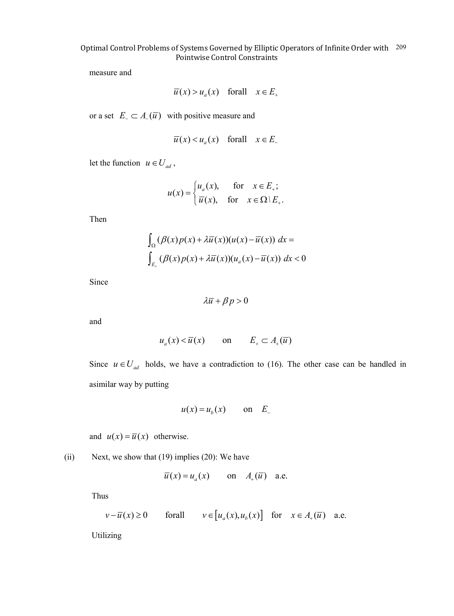measure and

$$
\overline{u}(x) > u_a(x)
$$
 forall  $x \in E_+$ 

or a set  $E_{-} \subset A_{-}(\overline{u})$  with positive measure and

$$
\overline{u}(x) < u_a(x)
$$
 forall  $x \in E$ 

let the function  $u \in U_{ad}$ ,

$$
u(x) = \begin{cases} u_a(x), & \text{for } x \in E_+; \\ \overline{u}(x), & \text{for } x \in \Omega \setminus E_+.\end{cases}
$$

Then

$$
\int_{\Omega} (\beta(x)p(x) + \lambda \overline{u}(x))(u(x) - \overline{u}(x)) dx =
$$
  

$$
\int_{E_{+}} (\beta(x)p(x) + \lambda \overline{u}(x))(u_{a}(x) - \overline{u}(x)) dx < 0
$$

Since

$$
\lambda \overline{u} + \beta p > 0
$$

and

$$
u_a(x) < \overline{u}(x)
$$
 on  $E_+ \subset A_+(\overline{u})$ 

Since  $u \in U_{ad}$  holds, we have a contradiction to (16). The other case can be handled in asimilar way by putting

$$
u(x) = u_b(x) \qquad \text{on} \quad E_-
$$

and  $u(x) = \overline{u}(x)$  otherwise.

(ii) Next, we show that  $(19)$  implies  $(20)$ : We have

$$
\overline{u}(x) = u_a(x)
$$
 on  $A_+(\overline{u})$  a.e.

Thus

$$
v - \overline{u}(x) \ge 0
$$
 for all  $v \in [u_a(x), u_b(x)]$  for  $x \in A_+(\overline{u})$  a.e.

Utilizing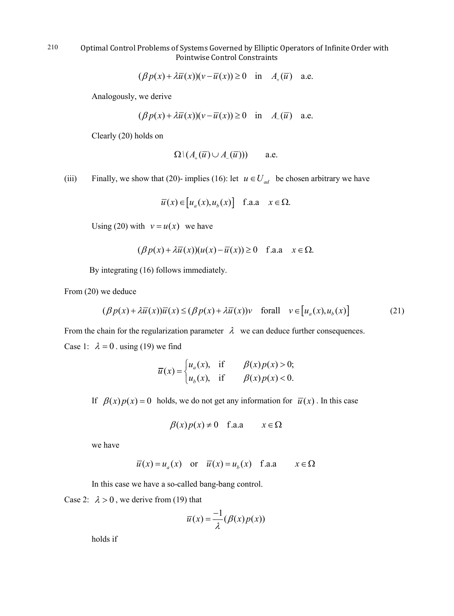$$
(\beta p(x) + \lambda \overline{u}(x))(v - \overline{u}(x)) \ge 0 \quad \text{in} \quad A_+(\overline{u}) \quad \text{a.e.}
$$

Analogously, we derive

$$
(\beta p(x) + \lambda \overline{u}(x))(v - \overline{u}(x)) \ge 0 \quad \text{in} \quad A_{-}(\overline{u}) \quad \text{a.e.}
$$

Clearly (20) holds on

$$
\Omega \backslash (A_+(\overline{u}) \cup A_-(\overline{u}))) \qquad \text{a.e.}
$$

(iii) Finally, we show that (20)- implies (16): let  $u \in U_{ad}$  be chosen arbitrary we have

$$
\overline{u}(x) \in [u_a(x), u_b(x)]
$$
 f.a.a  $x \in \Omega$ .

Using (20) with  $v = u(x)$  we have

$$
(\beta p(x) + \lambda \overline{u}(x))(u(x) - \overline{u}(x)) \ge 0 \quad \text{f.a.a} \quad x \in \Omega.
$$

By integrating (16) follows immediately.

From (20) we deduce

$$
(\beta p(x) + \lambda \overline{u}(x))\overline{u}(x) \le (\beta p(x) + \lambda \overline{u}(x))v \quad \text{for all} \quad v \in [u_a(x), u_b(x)] \tag{21}
$$

From the chain for the regularization parameter  $\lambda$  we can deduce further consequences. Case 1:  $\lambda = 0$ . using (19) we find

$$
\overline{u}(x) = \begin{cases} u_a(x), & \text{if } \beta(x)p(x) > 0; \\ u_b(x), & \text{if } \beta(x)p(x) < 0. \end{cases}
$$

If  $\beta(x) p(x) = 0$  holds, we do not get any information for  $\overline{u}(x)$ . In this case

$$
\beta(x)p(x) \neq 0 \quad \text{f.a.a} \qquad x \in \Omega
$$

we have

$$
\overline{u}(x) = u_a(x)
$$
 or  $\overline{u}(x) = u_b(x)$  f.a.a  $x \in \Omega$ 

In this case we have a so-called bang-bang control.

Case 2:  $\lambda > 0$ , we derive from (19) that

$$
\overline{u}(x) = \frac{-1}{\lambda} (\beta(x) p(x))
$$

holds if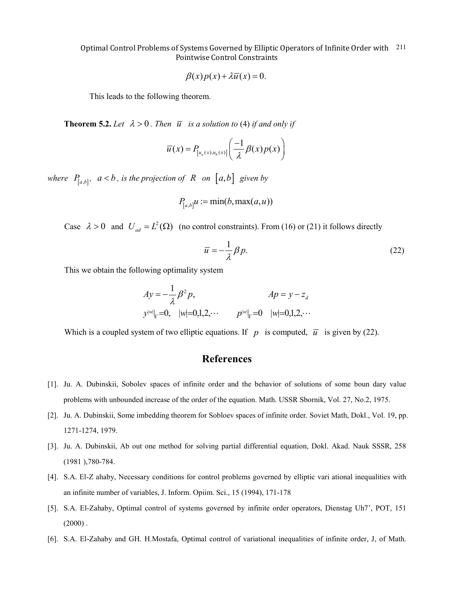$$
\beta(x)p(x) + \lambda \overline{u}(x) = 0.
$$

This leads to the following theorem.

**Theorem 5.2.** Let  $\lambda > 0$ . Then  $\overline{u}$  is a solution to (4) if and only if

$$
\overline{u}(x) = P_{[u_a(x),u_b(x)]}\left(\frac{-1}{\lambda}\beta(x)p(x)\right)
$$

*where*  $P_{[a,b]}$ ,  $a < b$ , *is the projection of*  $R$  *on*  $[a,b]$  *given by* 

$$
P_{[a,b]}u := \min(b, \max(a, u))
$$

Case  $\lambda > 0$  and  $U_{ad} = L^2(\Omega)$  (no control constraints). From (16) or (21) it follows directly

$$
\overline{u} = -\frac{1}{\lambda} \beta p. \tag{22}
$$

This we obtain the following optimality system

$$
Ay = -\frac{1}{\lambda} \beta^2 p,
$$
  
\n
$$
y^{|w|} |_F = 0, \quad |w| = 0, 1, 2, \cdots
$$
  
\n
$$
p^{|w|} |_F = 0 \quad |w| = 0, 1, 2, \cdots
$$

Which is a coupled system of two elliptic equations. If *p* is computed,  $\overline{u}$  is given by (22).

# **References**

- [1]. Ju. A. Dubinskii, Sobolev spaces of infinite order and the behavior of solutions of some boun dary value problems with unbounded increase of the order of the equation. Math. USSR Sbornik, Vol. 27, No.2, 1975.
- [2]. Ju. A. Dubinskii, Some imbedding theorem for Sobloev spaces of infinite order. Soviet Math, Dokl., Vol. 19, pp. 1271-1274, 1979.
- [3]. Ju. A. Dubinskii, Ab out one method for solving partial differential equation, Dokl. Akad. Nauk SSSR, 258 (1981 ),780-784.
- [4]. S.A. El-Z ahaby, Necessary conditions for control problems governed by elliptic vari ational inequalities with an infinite number of variables, J. Inform. Opiim. Sci., 15 (1994), 171-178
- [5]. S.A. El-Zahaby, Optimal control of systems governed by infinite order operators, Dienstag Uh7', POT, 151  $(2000)$ .
- [6]. S.A. El-Zahaby and GH. H.Mostafa, Optimal control of variational inequalities of infinite order, J, of Math.